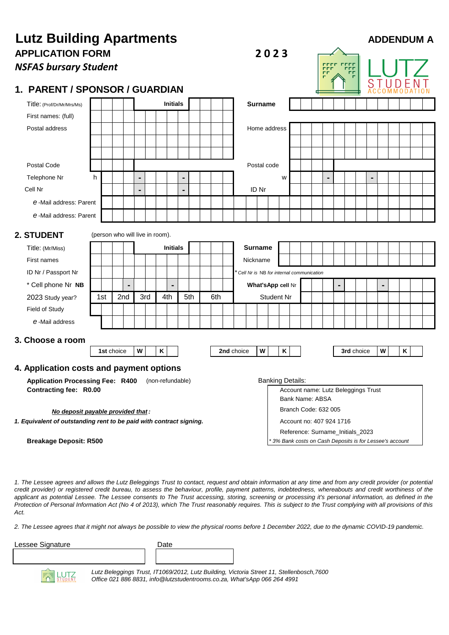| <b>Lutz Building Apartments</b><br>2023                             |                 |                                 |                                 |  |   |  |                   |   |  |                |                 | <b>ADDENDUM A</b>                   |            |                |   |                                                        |   |  |  |  |                                  |                |  |            |   |   |  |   |  |  |
|---------------------------------------------------------------------|-----------------|---------------------------------|---------------------------------|--|---|--|-------------------|---|--|----------------|-----------------|-------------------------------------|------------|----------------|---|--------------------------------------------------------|---|--|--|--|----------------------------------|----------------|--|------------|---|---|--|---|--|--|
| <b>APPLICATION FORM</b><br><b>NSFAS bursary Student</b>             |                 |                                 |                                 |  |   |  |                   |   |  |                |                 |                                     |            |                |   |                                                        |   |  |  |  | rrrr<br><b>FFF</b>               |                |  |            |   |   |  |   |  |  |
| <b>PARENT / SPONSOR / GUARDIAN</b><br>1.                            |                 |                                 |                                 |  |   |  |                   |   |  |                |                 |                                     |            |                |   |                                                        |   |  |  |  |                                  |                |  |            |   |   |  |   |  |  |
| Title: (Prof/Dr/Mr/Mrs/Ms)                                          |                 |                                 |                                 |  |   |  | <b>Initials</b>   |   |  |                |                 |                                     |            | <b>Surname</b> |   |                                                        |   |  |  |  |                                  |                |  |            |   |   |  |   |  |  |
| First names: (full)                                                 |                 |                                 |                                 |  |   |  |                   |   |  |                |                 |                                     |            |                |   |                                                        |   |  |  |  |                                  |                |  |            |   |   |  |   |  |  |
| Postal address                                                      |                 |                                 |                                 |  |   |  |                   |   |  |                |                 | Home address                        |            |                |   |                                                        |   |  |  |  |                                  |                |  |            |   |   |  |   |  |  |
|                                                                     |                 |                                 |                                 |  |   |  |                   |   |  |                |                 |                                     |            |                |   |                                                        |   |  |  |  |                                  |                |  |            |   |   |  |   |  |  |
|                                                                     |                 |                                 |                                 |  |   |  |                   |   |  |                |                 |                                     |            |                |   |                                                        |   |  |  |  |                                  |                |  |            |   |   |  |   |  |  |
| Postal Code                                                         |                 |                                 |                                 |  |   |  |                   |   |  |                |                 |                                     |            | Postal code    |   |                                                        |   |  |  |  |                                  |                |  |            |   |   |  |   |  |  |
| Telephone Nr                                                        | h               |                                 |                                 |  | ж |  |                   | ж |  |                |                 |                                     |            |                |   |                                                        | W |  |  |  | 淄                                |                |  |            | ж |   |  |   |  |  |
| Cell Nr                                                             |                 |                                 |                                 |  |   |  |                   |   |  |                |                 |                                     |            | ID Nr          |   |                                                        |   |  |  |  |                                  |                |  |            |   |   |  |   |  |  |
| e-Mail address: Parent                                              |                 |                                 |                                 |  |   |  |                   |   |  |                |                 |                                     |            |                |   |                                                        |   |  |  |  |                                  |                |  |            |   |   |  |   |  |  |
| e-Mail address: Parent                                              |                 |                                 |                                 |  |   |  |                   |   |  |                |                 |                                     |            |                |   |                                                        |   |  |  |  |                                  |                |  |            |   |   |  |   |  |  |
| 2. STUDENT                                                          |                 |                                 | (person who will live in room). |  |   |  |                   |   |  |                |                 |                                     |            |                |   |                                                        |   |  |  |  |                                  |                |  |            |   |   |  |   |  |  |
| Title: (Mr/Miss)                                                    | <b>Initials</b> |                                 |                                 |  |   |  |                   |   |  | <b>Surname</b> |                 |                                     |            |                |   |                                                        |   |  |  |  |                                  |                |  |            |   |   |  |   |  |  |
| First names                                                         |                 |                                 |                                 |  |   |  |                   |   |  |                |                 |                                     |            | Nickname       |   |                                                        |   |  |  |  |                                  |                |  |            |   |   |  |   |  |  |
| ID Nr / Passport Nr                                                 |                 |                                 |                                 |  |   |  |                   |   |  |                |                 |                                     |            |                |   | * Cell Nr is NB for internal communication             |   |  |  |  |                                  |                |  |            |   |   |  |   |  |  |
| * Cell phone Nr NB                                                  |                 |                                 |                                 |  |   |  | $\blacksquare$    |   |  |                |                 |                                     |            |                |   | What's App cell Nr                                     |   |  |  |  |                                  | $\blacksquare$ |  |            |   |   |  |   |  |  |
| 2023 Study year?                                                    |                 | 2nd<br>3rd<br>5th<br>1st<br>4th |                                 |  |   |  | 6th<br>Student Nr |   |  |                |                 |                                     |            |                |   |                                                        |   |  |  |  |                                  |                |  |            |   |   |  |   |  |  |
| Field of Study                                                      |                 |                                 |                                 |  |   |  |                   |   |  |                |                 |                                     |            |                |   |                                                        |   |  |  |  |                                  |                |  |            |   |   |  |   |  |  |
| e-Mail address                                                      |                 |                                 |                                 |  |   |  |                   |   |  |                |                 |                                     |            |                |   |                                                        |   |  |  |  |                                  |                |  |            |   |   |  |   |  |  |
| 3. Choose a room                                                    |                 |                                 |                                 |  |   |  |                   |   |  |                |                 |                                     |            |                |   |                                                        |   |  |  |  |                                  |                |  |            |   |   |  |   |  |  |
|                                                                     |                 |                                 | 1st choice                      |  | W |  | Κ                 |   |  |                |                 |                                     | 2nd choice |                | W |                                                        | Κ |  |  |  |                                  |                |  | 3rd choice |   | W |  | Κ |  |  |
| 4. Application costs and payment options                            |                 |                                 |                                 |  |   |  |                   |   |  |                |                 |                                     |            |                |   |                                                        |   |  |  |  |                                  |                |  |            |   |   |  |   |  |  |
| <b>Application Processing Fee: R400</b>                             |                 |                                 |                                 |  |   |  | (non-refundable)  |   |  |                |                 |                                     |            |                |   | <b>Banking Details:</b>                                |   |  |  |  |                                  |                |  |            |   |   |  |   |  |  |
| Contracting fee: R0.00                                              |                 |                                 |                                 |  |   |  |                   |   |  |                |                 | Account name: Lutz Beleggings Trust |            |                |   |                                                        |   |  |  |  |                                  |                |  |            |   |   |  |   |  |  |
|                                                                     |                 |                                 |                                 |  |   |  |                   |   |  |                | Bank Name: ABSA |                                     |            |                |   |                                                        |   |  |  |  |                                  |                |  |            |   |   |  |   |  |  |
| No deposit payable provided that:                                   |                 |                                 |                                 |  |   |  |                   |   |  |                |                 |                                     |            |                |   | Branch Code: 632 005<br>Account no: 407 924 1716       |   |  |  |  |                                  |                |  |            |   |   |  |   |  |  |
| 1. Equivalent of outstanding rent to be paid with contract signing. |                 |                                 |                                 |  |   |  |                   |   |  |                |                 |                                     |            |                |   |                                                        |   |  |  |  | Reference: Surname_Initials_2023 |                |  |            |   |   |  |   |  |  |
| <b>Breakage Deposit: R500</b>                                       |                 |                                 |                                 |  |   |  |                   |   |  |                |                 |                                     |            |                |   | 3% Bank costs on Cash Deposits is for Lessee's account |   |  |  |  |                                  |                |  |            |   |   |  |   |  |  |

1. The Lessee agrees and allows the Lutz Beleggings Trust to contact, request and obtain information at any time and from any credit provider (or potential credit provider) or registered credit bureau, to assess the behaviour, profile, payment patterns, indebtedness, whereabouts and credit worthiness of the applicant as potential Lessee. The Lessee consents to The Trust accessing, storing, screening or processing it's personal information, as defined in the Protection of Personal Information Act (No 4 of 2013), which The Trust reasonably requires. This is subject to the Trust complying with all provisions of this *Act.*

*2. The Lessee agrees that it might not always be possible to view the physical rooms before 1 December 2022, due to the dynamic COVID-19 pandemic.* 

| Date |
|------|
|      |
|      |

**LUTZ** 

*Lutz Beleggings Trust, IT1069/2012, Lutz Building, Victoria Street 11, Stellenbosch,7600 Office 021 886 8831, info@lutzstudentrooms.co.za, What'sApp 066 264 4991*